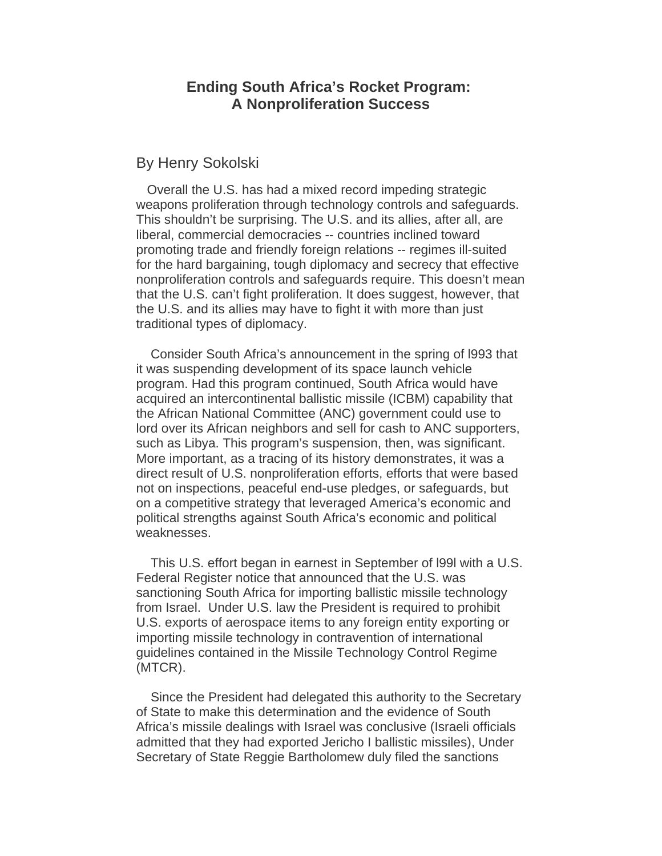## **Ending South Africa's Rocket Program: A Nonproliferation Success**

## By Henry Sokolski

 Overall the U.S. has had a mixed record impeding strategic weapons proliferation through technology controls and safeguards. This shouldn't be surprising. The U.S. and its allies, after all, are liberal, commercial democracies -- countries inclined toward promoting trade and friendly foreign relations -- regimes ill-suited for the hard bargaining, tough diplomacy and secrecy that effective nonproliferation controls and safeguards require. This doesn't mean that the U.S. can't fight proliferation. It does suggest, however, that the U.S. and its allies may have to fight it with more than just traditional types of diplomacy.

 Consider South Africa's announcement in the spring of l993 that it was suspending development of its space launch vehicle program. Had this program continued, South Africa would have acquired an intercontinental ballistic missile (ICBM) capability that the African National Committee (ANC) government could use to lord over its African neighbors and sell for cash to ANC supporters, such as Libya. This program's suspension, then, was significant. More important, as a tracing of its history demonstrates, it was a direct result of U.S. nonproliferation efforts, efforts that were based not on inspections, peaceful end-use pledges, or safeguards, but on a competitive strategy that leveraged America's economic and political strengths against South Africa's economic and political weaknesses.

 This U.S. effort began in earnest in September of l99l with a U.S. Federal Register notice that announced that the U.S. was sanctioning South Africa for importing ballistic missile technology from Israel. Under U.S. law the President is required to prohibit U.S. exports of aerospace items to any foreign entity exporting or importing missile technology in contravention of international guidelines contained in the Missile Technology Control Regime (MTCR).

 Since the President had delegated this authority to the Secretary of State to make this determination and the evidence of South Africa's missile dealings with Israel was conclusive (Israeli officials admitted that they had exported Jericho I ballistic missiles), Under Secretary of State Reggie Bartholomew duly filed the sanctions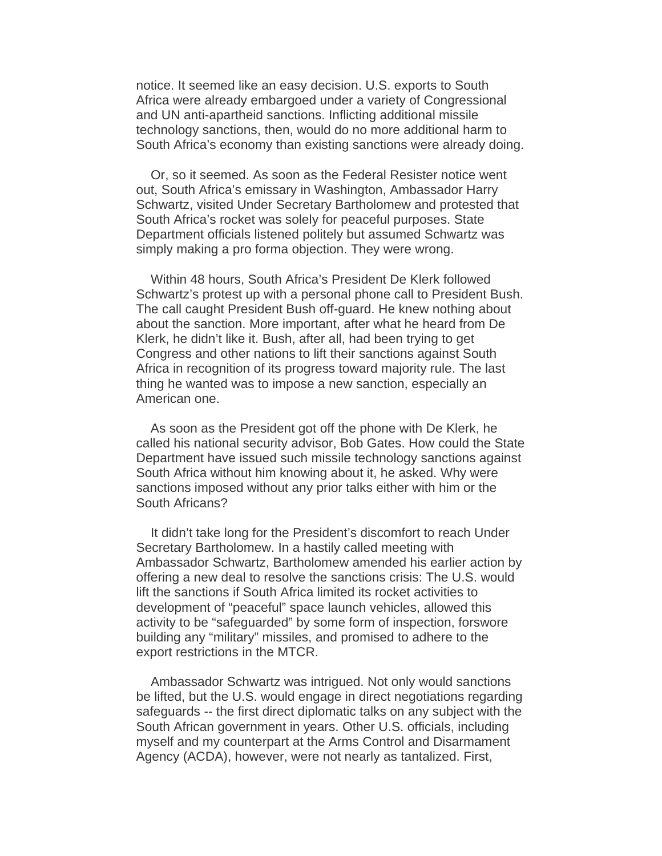notice. It seemed like an easy decision. U.S. exports to South Africa were already embargoed under a variety of Congressional and UN anti-apartheid sanctions. Inflicting additional missile technology sanctions, then, would do no more additional harm to South Africa's economy than existing sanctions were already doing.

 Or, so it seemed. As soon as the Federal Resister notice went out, South Africa's emissary in Washington, Ambassador Harry Schwartz, visited Under Secretary Bartholomew and protested that South Africa's rocket was solely for peaceful purposes. State Department officials listened politely but assumed Schwartz was simply making a pro forma objection. They were wrong.

 Within 48 hours, South Africa's President De Klerk followed Schwartz's protest up with a personal phone call to President Bush. The call caught President Bush off-guard. He knew nothing about about the sanction. More important, after what he heard from De Klerk, he didn't like it. Bush, after all, had been trying to get Congress and other nations to lift their sanctions against South Africa in recognition of its progress toward majority rule. The last thing he wanted was to impose a new sanction, especially an American one.

 As soon as the President got off the phone with De Klerk, he called his national security advisor, Bob Gates. How could the State Department have issued such missile technology sanctions against South Africa without him knowing about it, he asked. Why were sanctions imposed without any prior talks either with him or the South Africans?

 It didn't take long for the President's discomfort to reach Under Secretary Bartholomew. In a hastily called meeting with Ambassador Schwartz, Bartholomew amended his earlier action by offering a new deal to resolve the sanctions crisis: The U.S. would lift the sanctions if South Africa limited its rocket activities to development of "peaceful" space launch vehicles, allowed this activity to be "safeguarded" by some form of inspection, forswore building any "military" missiles, and promised to adhere to the export restrictions in the MTCR.

 Ambassador Schwartz was intrigued. Not only would sanctions be lifted, but the U.S. would engage in direct negotiations regarding safeguards -- the first direct diplomatic talks on any subject with the South African government in years. Other U.S. officials, including myself and my counterpart at the Arms Control and Disarmament Agency (ACDA), however, were not nearly as tantalized. First,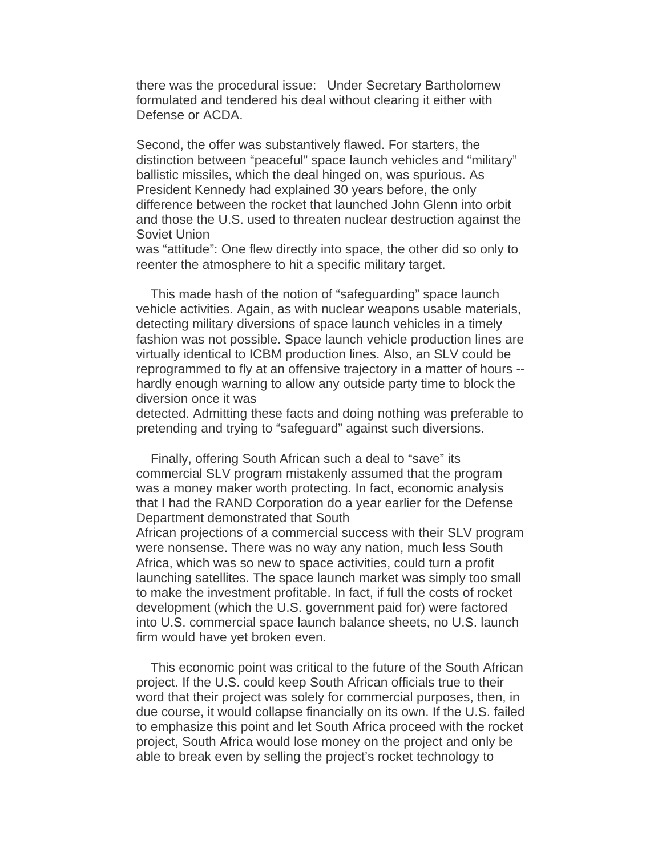there was the procedural issue: Under Secretary Bartholomew formulated and tendered his deal without clearing it either with Defense or ACDA.

Second, the offer was substantively flawed. For starters, the distinction between "peaceful" space launch vehicles and "military" ballistic missiles, which the deal hinged on, was spurious. As President Kennedy had explained 30 years before, the only difference between the rocket that launched John Glenn into orbit and those the U.S. used to threaten nuclear destruction against the Soviet Union

was "attitude": One flew directly into space, the other did so only to reenter the atmosphere to hit a specific military target.

 This made hash of the notion of "safeguarding" space launch vehicle activities. Again, as with nuclear weapons usable materials, detecting military diversions of space launch vehicles in a timely fashion was not possible. Space launch vehicle production lines are virtually identical to ICBM production lines. Also, an SLV could be reprogrammed to fly at an offensive trajectory in a matter of hours - hardly enough warning to allow any outside party time to block the diversion once it was

detected. Admitting these facts and doing nothing was preferable to pretending and trying to "safeguard" against such diversions.

 Finally, offering South African such a deal to "save" its commercial SLV program mistakenly assumed that the program was a money maker worth protecting. In fact, economic analysis that I had the RAND Corporation do a year earlier for the Defense Department demonstrated that South

African projections of a commercial success with their SLV program were nonsense. There was no way any nation, much less South Africa, which was so new to space activities, could turn a profit launching satellites. The space launch market was simply too small to make the investment profitable. In fact, if full the costs of rocket development (which the U.S. government paid for) were factored into U.S. commercial space launch balance sheets, no U.S. launch firm would have yet broken even.

 This economic point was critical to the future of the South African project. If the U.S. could keep South African officials true to their word that their project was solely for commercial purposes, then, in due course, it would collapse financially on its own. If the U.S. failed to emphasize this point and let South Africa proceed with the rocket project, South Africa would lose money on the project and only be able to break even by selling the project's rocket technology to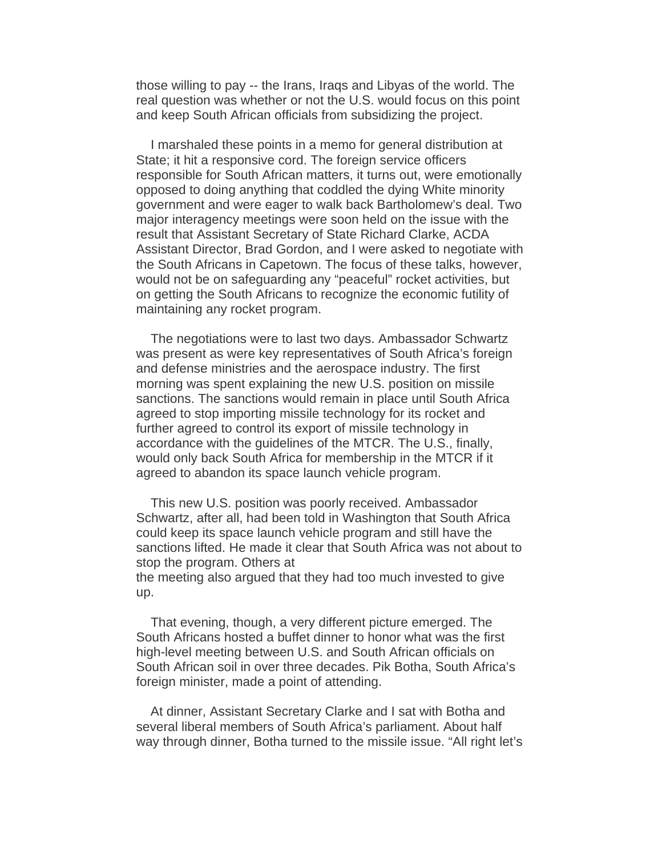those willing to pay -- the Irans, Iraqs and Libyas of the world. The real question was whether or not the U.S. would focus on this point and keep South African officials from subsidizing the project.

 I marshaled these points in a memo for general distribution at State; it hit a responsive cord. The foreign service officers responsible for South African matters, it turns out, were emotionally opposed to doing anything that coddled the dying White minority government and were eager to walk back Bartholomew's deal. Two major interagency meetings were soon held on the issue with the result that Assistant Secretary of State Richard Clarke, ACDA Assistant Director, Brad Gordon, and I were asked to negotiate with the South Africans in Capetown. The focus of these talks, however, would not be on safeguarding any "peaceful" rocket activities, but on getting the South Africans to recognize the economic futility of maintaining any rocket program.

 The negotiations were to last two days. Ambassador Schwartz was present as were key representatives of South Africa's foreign and defense ministries and the aerospace industry. The first morning was spent explaining the new U.S. position on missile sanctions. The sanctions would remain in place until South Africa agreed to stop importing missile technology for its rocket and further agreed to control its export of missile technology in accordance with the guidelines of the MTCR. The U.S., finally, would only back South Africa for membership in the MTCR if it agreed to abandon its space launch vehicle program.

 This new U.S. position was poorly received. Ambassador Schwartz, after all, had been told in Washington that South Africa could keep its space launch vehicle program and still have the sanctions lifted. He made it clear that South Africa was not about to stop the program. Others at the meeting also argued that they had too much invested to give up.

 That evening, though, a very different picture emerged. The South Africans hosted a buffet dinner to honor what was the first high-level meeting between U.S. and South African officials on South African soil in over three decades. Pik Botha, South Africa's foreign minister, made a point of attending.

 At dinner, Assistant Secretary Clarke and I sat with Botha and several liberal members of South Africa's parliament. About half way through dinner, Botha turned to the missile issue. "All right let's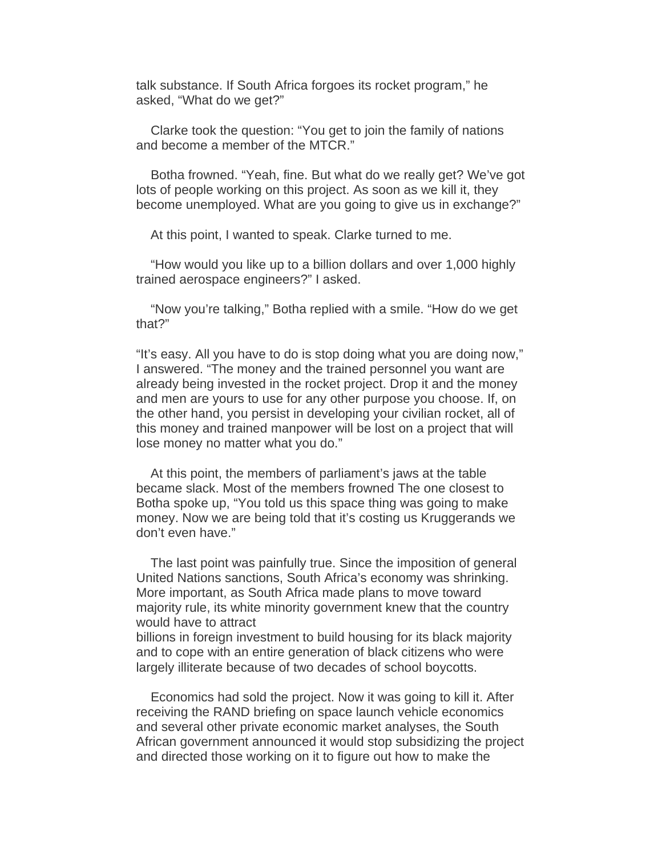talk substance. If South Africa forgoes its rocket program," he asked, "What do we get?"

 Clarke took the question: "You get to join the family of nations and become a member of the MTCR."

 Botha frowned. "Yeah, fine. But what do we really get? We've got lots of people working on this project. As soon as we kill it, they become unemployed. What are you going to give us in exchange?"

At this point, I wanted to speak. Clarke turned to me.

 "How would you like up to a billion dollars and over 1,000 highly trained aerospace engineers?" I asked.

 "Now you're talking," Botha replied with a smile. "How do we get that?"

"It's easy. All you have to do is stop doing what you are doing now," I answered. "The money and the trained personnel you want are already being invested in the rocket project. Drop it and the money and men are yours to use for any other purpose you choose. If, on the other hand, you persist in developing your civilian rocket, all of this money and trained manpower will be lost on a project that will lose money no matter what you do."

 At this point, the members of parliament's jaws at the table became slack. Most of the members frowned The one closest to Botha spoke up, "You told us this space thing was going to make money. Now we are being told that it's costing us Kruggerands we don't even have."

 The last point was painfully true. Since the imposition of general United Nations sanctions, South Africa's economy was shrinking. More important, as South Africa made plans to move toward majority rule, its white minority government knew that the country would have to attract

billions in foreign investment to build housing for its black majority and to cope with an entire generation of black citizens who were largely illiterate because of two decades of school boycotts.

 Economics had sold the project. Now it was going to kill it. After receiving the RAND briefing on space launch vehicle economics and several other private economic market analyses, the South African government announced it would stop subsidizing the project and directed those working on it to figure out how to make the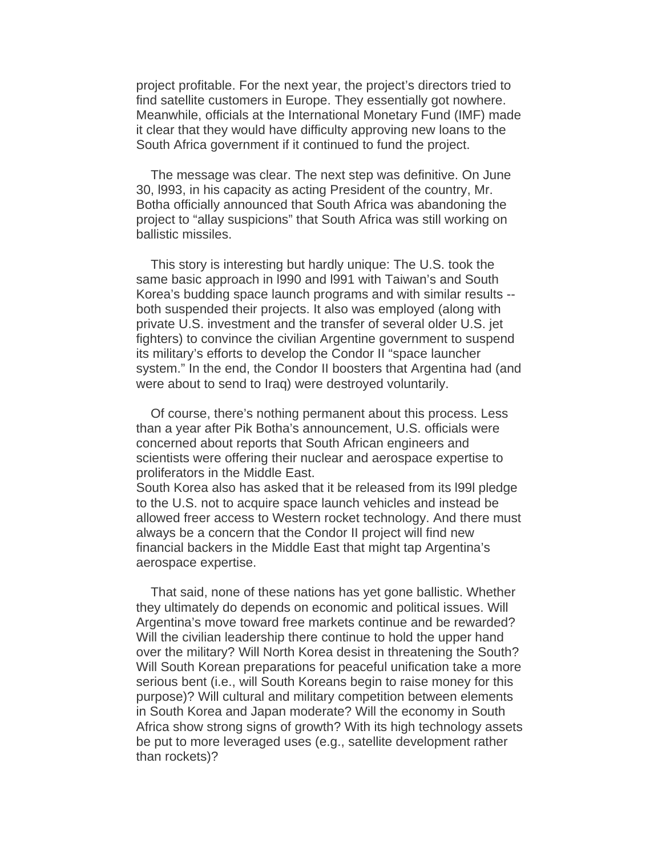project profitable. For the next year, the project's directors tried to find satellite customers in Europe. They essentially got nowhere. Meanwhile, officials at the International Monetary Fund (IMF) made it clear that they would have difficulty approving new loans to the South Africa government if it continued to fund the project.

 The message was clear. The next step was definitive. On June 30, l993, in his capacity as acting President of the country, Mr. Botha officially announced that South Africa was abandoning the project to "allay suspicions" that South Africa was still working on ballistic missiles.

 This story is interesting but hardly unique: The U.S. took the same basic approach in l990 and l991 with Taiwan's and South Korea's budding space launch programs and with similar results - both suspended their projects. It also was employed (along with private U.S. investment and the transfer of several older U.S. jet fighters) to convince the civilian Argentine government to suspend its military's efforts to develop the Condor II "space launcher system." In the end, the Condor II boosters that Argentina had (and were about to send to Iraq) were destroyed voluntarily.

 Of course, there's nothing permanent about this process. Less than a year after Pik Botha's announcement, U.S. officials were concerned about reports that South African engineers and scientists were offering their nuclear and aerospace expertise to proliferators in the Middle East.

South Korea also has asked that it be released from its l99l pledge to the U.S. not to acquire space launch vehicles and instead be allowed freer access to Western rocket technology. And there must always be a concern that the Condor II project will find new financial backers in the Middle East that might tap Argentina's aerospace expertise.

 That said, none of these nations has yet gone ballistic. Whether they ultimately do depends on economic and political issues. Will Argentina's move toward free markets continue and be rewarded? Will the civilian leadership there continue to hold the upper hand over the military? Will North Korea desist in threatening the South? Will South Korean preparations for peaceful unification take a more serious bent (i.e., will South Koreans begin to raise money for this purpose)? Will cultural and military competition between elements in South Korea and Japan moderate? Will the economy in South Africa show strong signs of growth? With its high technology assets be put to more leveraged uses (e.g., satellite development rather than rockets)?